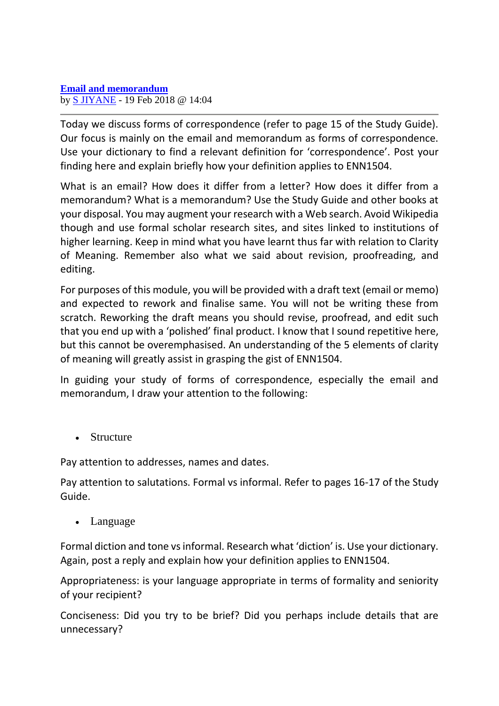Today we discuss forms of correspondence (refer to page 15 of the Study Guide). Our focus is mainly on the email and memorandum as forms of correspondence. Use your dictionary to find a relevant definition for 'correspondence'. Post your finding here and explain briefly how your definition applies to ENN1504.

What is an email? How does it differ from a letter? How does it differ from a memorandum? What is a memorandum? Use the Study Guide and other books at your disposal. You may augment your research with a Web search. Avoid Wikipedia though and use formal scholar research sites, and sites linked to institutions of higher learning. Keep in mind what you have learnt thus far with relation to Clarity of Meaning. Remember also what we said about revision, proofreading, and editing.

For purposes of this module, you will be provided with a draft text (email or memo) and expected to rework and finalise same. You will not be writing these from scratch. Reworking the draft means you should revise, proofread, and edit such that you end up with a 'polished' final product. I know that I sound repetitive here, but this cannot be overemphasised. An understanding of the 5 elements of clarity of meaning will greatly assist in grasping the gist of ENN1504.

In guiding your study of forms of correspondence, especially the email and memorandum, I draw your attention to the following:

• Structure

Pay attention to addresses, names and dates.

Pay attention to salutations. Formal vs informal. Refer to pages 16-17 of the Study Guide.

• Language

Formal diction and tone vs informal. Research what 'diction' is. Use your dictionary. Again, post a reply and explain how your definition applies to ENN1504.

Appropriateness: is your language appropriate in terms of formality and seniority of your recipient?

Conciseness: Did you try to be brief? Did you perhaps include details that are unnecessary?